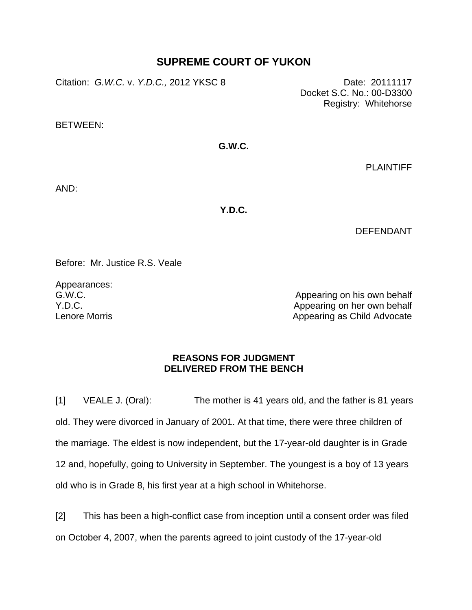## **SUPREME COURT OF YUKON**

Citation: *G.W.C.* v. *Y.D.C.,* 2012 YKSC 8 Date: 20111117

Docket S.C. No.: 00-D3300 Registry: Whitehorse

BETWEEN:

## **G.W.C.**

PLAINTIFF

AND:

**Y.D.C.**

DEFENDANT

Before: Mr. Justice R.S. Veale

Appearances: G.W.C. Y.D.C. Lenore Morris

Appearing on his own behalf Appearing on her own behalf Appearing as Child Advocate

## **REASONS FOR JUDGMENT DELIVERED FROM THE BENCH**

[1] VEALE J. (Oral): The mother is 41 years old, and the father is 81 years old. They were divorced in January of 2001. At that time, there were three children of the marriage. The eldest is now independent, but the 17-year-old daughter is in Grade 12 and, hopefully, going to University in September. The youngest is a boy of 13 years old who is in Grade 8, his first year at a high school in Whitehorse.

[2] This has been a high-conflict case from inception until a consent order was filed on October 4, 2007, when the parents agreed to joint custody of the 17-year-old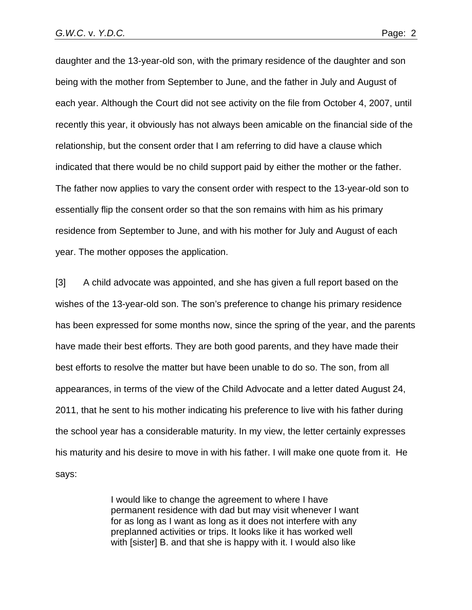daughter and the 13-year-old son, with the primary residence of the daughter and son being with the mother from September to June, and the father in July and August of each year. Although the Court did not see activity on the file from October 4, 2007, until recently this year, it obviously has not always been amicable on the financial side of the relationship, but the consent order that I am referring to did have a clause which indicated that there would be no child support paid by either the mother or the father. The father now applies to vary the consent order with respect to the 13-year-old son to essentially flip the consent order so that the son remains with him as his primary residence from September to June, and with his mother for July and August of each year. The mother opposes the application.

[3] A child advocate was appointed, and she has given a full report based on the wishes of the 13-year-old son. The son's preference to change his primary residence has been expressed for some months now, since the spring of the year, and the parents have made their best efforts. They are both good parents, and they have made their best efforts to resolve the matter but have been unable to do so. The son, from all appearances, in terms of the view of the Child Advocate and a letter dated August 24, 2011, that he sent to his mother indicating his preference to live with his father during the school year has a considerable maturity. In my view, the letter certainly expresses his maturity and his desire to move in with his father. I will make one quote from it. He says:

> I would like to change the agreement to where I have permanent residence with dad but may visit whenever I want for as long as I want as long as it does not interfere with any preplanned activities or trips. It looks like it has worked well with [sister] B. and that she is happy with it. I would also like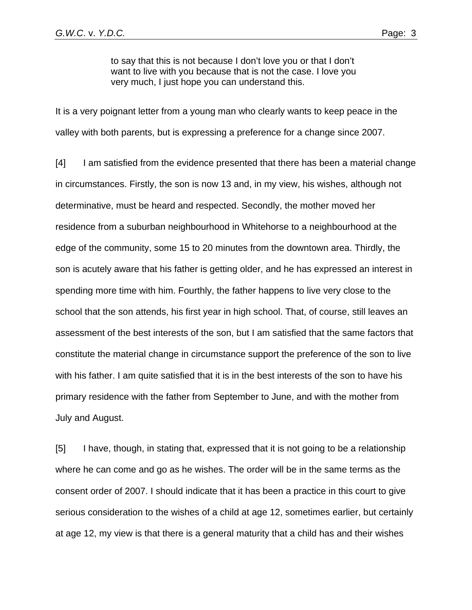to say that this is not because I don't love you or that I don't want to live with you because that is not the case. I love you very much, I just hope you can understand this.

It is a very poignant letter from a young man who clearly wants to keep peace in the valley with both parents, but is expressing a preference for a change since 2007.

[4] I am satisfied from the evidence presented that there has been a material change in circumstances. Firstly, the son is now 13 and, in my view, his wishes, although not determinative, must be heard and respected. Secondly, the mother moved her residence from a suburban neighbourhood in Whitehorse to a neighbourhood at the edge of the community, some 15 to 20 minutes from the downtown area. Thirdly, the son is acutely aware that his father is getting older, and he has expressed an interest in spending more time with him. Fourthly, the father happens to live very close to the school that the son attends, his first year in high school. That, of course, still leaves an assessment of the best interests of the son, but I am satisfied that the same factors that constitute the material change in circumstance support the preference of the son to live with his father. I am quite satisfied that it is in the best interests of the son to have his primary residence with the father from September to June, and with the mother from July and August.

[5] I have, though, in stating that, expressed that it is not going to be a relationship where he can come and go as he wishes. The order will be in the same terms as the consent order of 2007. I should indicate that it has been a practice in this court to give serious consideration to the wishes of a child at age 12, sometimes earlier, but certainly at age 12, my view is that there is a general maturity that a child has and their wishes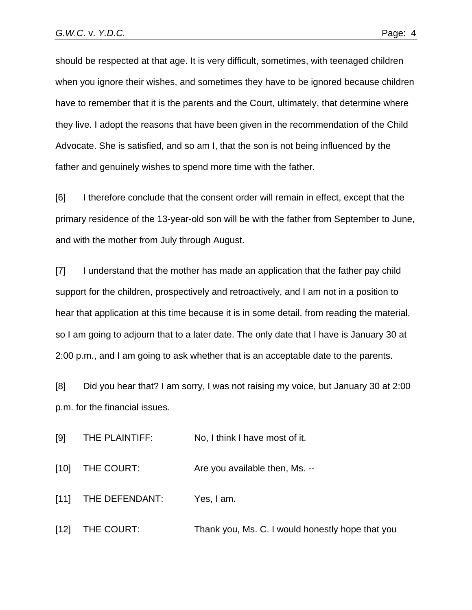should be respected at that age. It is very difficult, sometimes, with teenaged children when you ignore their wishes, and sometimes they have to be ignored because children have to remember that it is the parents and the Court, ultimately, that determine where they live. I adopt the reasons that have been given in the recommendation of the Child Advocate. She is satisfied, and so am I, that the son is not being influenced by the father and genuinely wishes to spend more time with the father.

[6] I therefore conclude that the consent order will remain in effect, except that the primary residence of the 13-year-old son will be with the father from September to June, and with the mother from July through August.

[7] I understand that the mother has made an application that the father pay child support for the children, prospectively and retroactively, and I am not in a position to hear that application at this time because it is in some detail, from reading the material, so I am going to adjourn that to a later date. The only date that I have is January 30 at 2:00 p.m., and I am going to ask whether that is an acceptable date to the parents.

[8] Did you hear that? I am sorry, I was not raising my voice, but January 30 at 2:00 p.m. for the financial issues.

[9] THE PLAINTIFF: No, I think I have most of it.

[10] THE COURT: Are you available then, Ms. --

[11] THE DEFENDANT: Yes, I am.

[12] THE COURT: Thank you, Ms. C. I would honestly hope that you